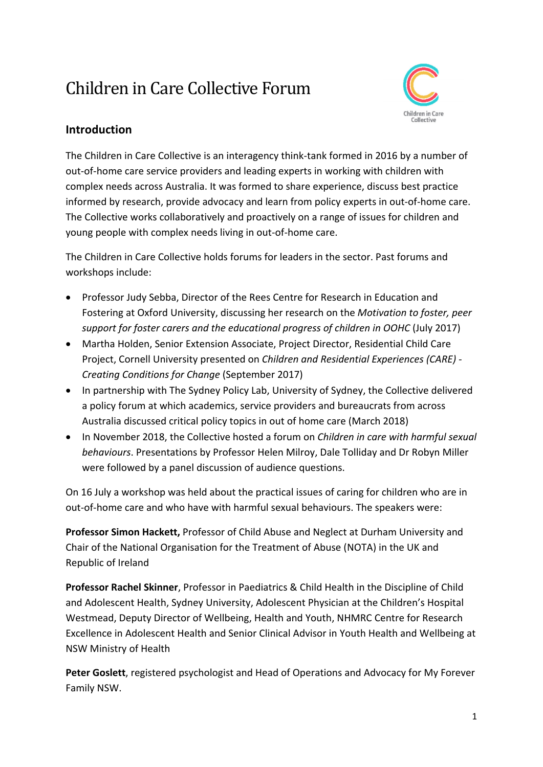# **Children in Care Collective Forum**



# **Introduction**

The Children in Care Collective is an interagency think‐tank formed in 2016 by a number of out‐of‐home care service providers and leading experts in working with children with complex needs across Australia. It was formed to share experience, discuss best practice informed by research, provide advocacy and learn from policy experts in out‐of‐home care. The Collective works collaboratively and proactively on a range of issues for children and young people with complex needs living in out‐of‐home care.

The Children in Care Collective holds forums for leaders in the sector. Past forums and workshops include:

- Professor Judy Sebba, Director of the Rees Centre for Research in Education and Fostering at Oxford University, discussing her research on the *Motivation to foster, peer support for foster carers and the educational progress of children in OOHC* (July 2017)
- Martha Holden, Senior Extension Associate, Project Director, Residential Child Care Project, Cornell University presented on *Children and Residential Experiences (CARE) ‐ Creating Conditions for Change* (September 2017)
- In partnership with The Sydney Policy Lab, University of Sydney, the Collective delivered a policy forum at which academics, service providers and bureaucrats from across Australia discussed critical policy topics in out of home care (March 2018)
- In November 2018, the Collective hosted a forum on *Children in care with harmful sexual behaviours*. Presentations by Professor Helen Milroy, Dale Tolliday and Dr Robyn Miller were followed by a panel discussion of audience questions.

On 16 July a workshop was held about the practical issues of caring for children who are in out‐of‐home care and who have with harmful sexual behaviours. The speakers were:

**Professor Simon Hackett,** Professor of Child Abuse and Neglect at Durham University and Chair of the National Organisation for the Treatment of Abuse (NOTA) in the UK and Republic of Ireland

**Professor Rachel Skinner**, Professor in Paediatrics & Child Health in the Discipline of Child and Adolescent Health, Sydney University, Adolescent Physician at the Children's Hospital Westmead, Deputy Director of Wellbeing, Health and Youth, NHMRC Centre for Research Excellence in Adolescent Health and Senior Clinical Advisor in Youth Health and Wellbeing at NSW Ministry of Health

**Peter Goslett**, registered psychologist and Head of Operations and Advocacy for My Forever Family NSW.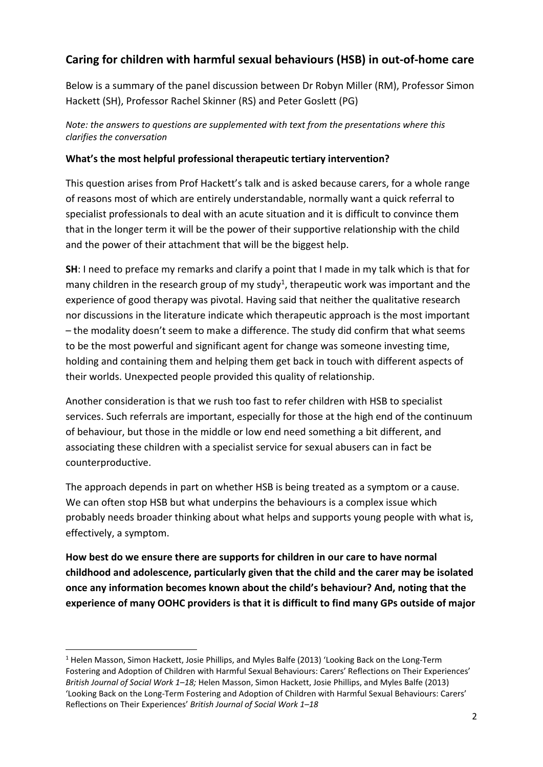# **Caring for children with harmful sexual behaviours (HSB) in out‐of‐home care**

Below is a summary of the panel discussion between Dr Robyn Miller (RM), Professor Simon Hackett (SH), Professor Rachel Skinner (RS) and Peter Goslett (PG)

*Note: the answers to questions are supplemented with text from the presentations where this clarifies the conversation* 

#### **What's the most helpful professional therapeutic tertiary intervention?**

This question arises from Prof Hackett's talk and is asked because carers, for a whole range of reasons most of which are entirely understandable, normally want a quick referral to specialist professionals to deal with an acute situation and it is difficult to convince them that in the longer term it will be the power of their supportive relationship with the child and the power of their attachment that will be the biggest help.

**SH**: I need to preface my remarks and clarify a point that I made in my talk which is that for many children in the research group of my study<sup>1</sup>, therapeutic work was important and the experience of good therapy was pivotal. Having said that neither the qualitative research nor discussions in the literature indicate which therapeutic approach is the most important – the modality doesn't seem to make a difference. The study did confirm that what seems to be the most powerful and significant agent for change was someone investing time, holding and containing them and helping them get back in touch with different aspects of their worlds. Unexpected people provided this quality of relationship.

Another consideration is that we rush too fast to refer children with HSB to specialist services. Such referrals are important, especially for those at the high end of the continuum of behaviour, but those in the middle or low end need something a bit different, and associating these children with a specialist service for sexual abusers can in fact be counterproductive.

The approach depends in part on whether HSB is being treated as a symptom or a cause. We can often stop HSB but what underpins the behaviours is a complex issue which probably needs broader thinking about what helps and supports young people with what is, effectively, a symptom.

**How best do we ensure there are supports for children in our care to have normal childhood and adolescence, particularly given that the child and the carer may be isolated once any information becomes known about the child's behaviour? And, noting that the experience of many OOHC providers is that it is difficult to find many GPs outside of major** 

<sup>&</sup>lt;sup>1</sup> Helen Masson, Simon Hackett, Josie Phillips, and Myles Balfe (2013) 'Looking Back on the Long-Term Fostering and Adoption of Children with Harmful Sexual Behaviours: Carers' Reflections on Their Experiences' *British Journal of Social Work 1–18;* Helen Masson, Simon Hackett, Josie Phillips, and Myles Balfe (2013) 'Looking Back on the Long‐Term Fostering and Adoption of Children with Harmful Sexual Behaviours: Carers' Reflections on Their Experiences' *British Journal of Social Work 1–18*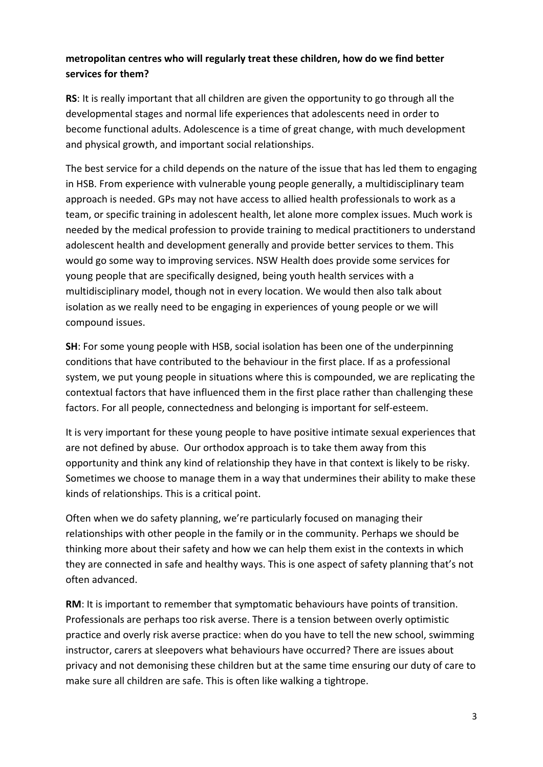#### **metropolitan centres who will regularly treat these children, how do we find better services for them?**

**RS**: It is really important that all children are given the opportunity to go through all the developmental stages and normal life experiences that adolescents need in order to become functional adults. Adolescence is a time of great change, with much development and physical growth, and important social relationships.

The best service for a child depends on the nature of the issue that has led them to engaging in HSB. From experience with vulnerable young people generally, a multidisciplinary team approach is needed. GPs may not have access to allied health professionals to work as a team, or specific training in adolescent health, let alone more complex issues. Much work is needed by the medical profession to provide training to medical practitioners to understand adolescent health and development generally and provide better services to them. This would go some way to improving services. NSW Health does provide some services for young people that are specifically designed, being youth health services with a multidisciplinary model, though not in every location. We would then also talk about isolation as we really need to be engaging in experiences of young people or we will compound issues.

**SH**: For some young people with HSB, social isolation has been one of the underpinning conditions that have contributed to the behaviour in the first place. If as a professional system, we put young people in situations where this is compounded, we are replicating the contextual factors that have influenced them in the first place rather than challenging these factors. For all people, connectedness and belonging is important for self‐esteem.

It is very important for these young people to have positive intimate sexual experiences that are not defined by abuse. Our orthodox approach is to take them away from this opportunity and think any kind of relationship they have in that context is likely to be risky. Sometimes we choose to manage them in a way that undermines their ability to make these kinds of relationships. This is a critical point.

Often when we do safety planning, we're particularly focused on managing their relationships with other people in the family or in the community. Perhaps we should be thinking more about their safety and how we can help them exist in the contexts in which they are connected in safe and healthy ways. This is one aspect of safety planning that's not often advanced.

**RM**: It is important to remember that symptomatic behaviours have points of transition. Professionals are perhaps too risk averse. There is a tension between overly optimistic practice and overly risk averse practice: when do you have to tell the new school, swimming instructor, carers at sleepovers what behaviours have occurred? There are issues about privacy and not demonising these children but at the same time ensuring our duty of care to make sure all children are safe. This is often like walking a tightrope.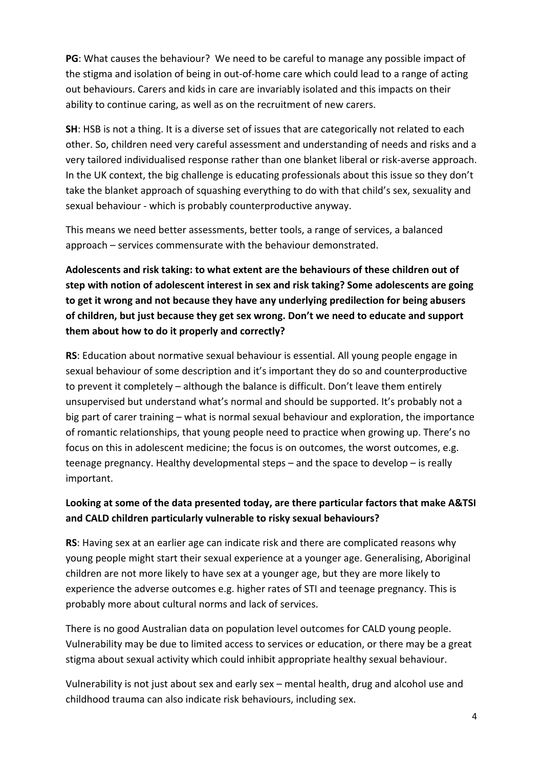**PG**: What causes the behaviour? We need to be careful to manage any possible impact of the stigma and isolation of being in out‐of‐home care which could lead to a range of acting out behaviours. Carers and kids in care are invariably isolated and this impacts on their ability to continue caring, as well as on the recruitment of new carers.

**SH**: HSB is not a thing. It is a diverse set of issues that are categorically not related to each other. So, children need very careful assessment and understanding of needs and risks and a very tailored individualised response rather than one blanket liberal or risk‐averse approach. In the UK context, the big challenge is educating professionals about this issue so they don't take the blanket approach of squashing everything to do with that child's sex, sexuality and sexual behaviour ‐ which is probably counterproductive anyway.

This means we need better assessments, better tools, a range of services, a balanced approach – services commensurate with the behaviour demonstrated.

**Adolescents and risk taking: to what extent are the behaviours of these children out of step with notion of adolescent interest in sex and risk taking? Some adolescents are going to get it wrong and not because they have any underlying predilection for being abusers of children, but just because they get sex wrong. Don't we need to educate and support them about how to do it properly and correctly?** 

**RS**: Education about normative sexual behaviour is essential. All young people engage in sexual behaviour of some description and it's important they do so and counterproductive to prevent it completely – although the balance is difficult. Don't leave them entirely unsupervised but understand what's normal and should be supported. It's probably not a big part of carer training – what is normal sexual behaviour and exploration, the importance of romantic relationships, that young people need to practice when growing up. There's no focus on this in adolescent medicine; the focus is on outcomes, the worst outcomes, e.g. teenage pregnancy. Healthy developmental steps – and the space to develop – is really important.

#### **Looking at some of the data presented today, are there particular factors that make A&TSI and CALD children particularly vulnerable to risky sexual behaviours?**

**RS**: Having sex at an earlier age can indicate risk and there are complicated reasons why young people might start their sexual experience at a younger age. Generalising, Aboriginal children are not more likely to have sex at a younger age, but they are more likely to experience the adverse outcomes e.g. higher rates of STI and teenage pregnancy. This is probably more about cultural norms and lack of services.

There is no good Australian data on population level outcomes for CALD young people. Vulnerability may be due to limited access to services or education, or there may be a great stigma about sexual activity which could inhibit appropriate healthy sexual behaviour.

Vulnerability is not just about sex and early sex – mental health, drug and alcohol use and childhood trauma can also indicate risk behaviours, including sex.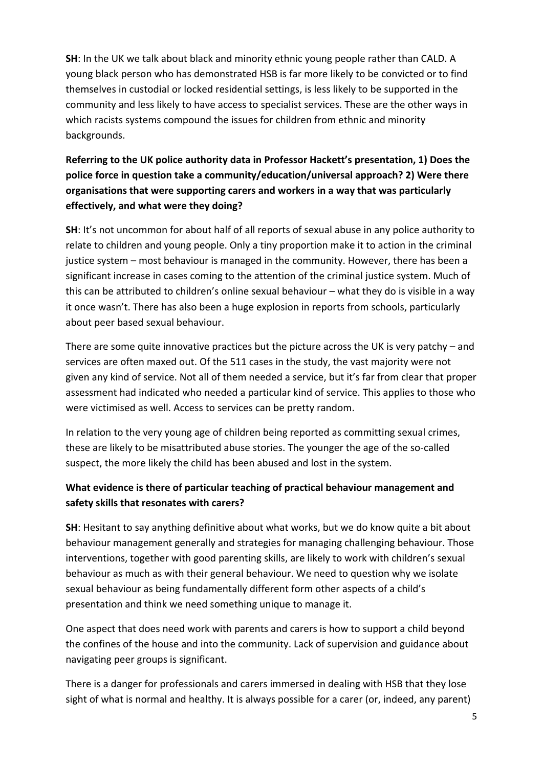**SH**: In the UK we talk about black and minority ethnic young people rather than CALD. A young black person who has demonstrated HSB is far more likely to be convicted or to find themselves in custodial or locked residential settings, is less likely to be supported in the community and less likely to have access to specialist services. These are the other ways in which racists systems compound the issues for children from ethnic and minority backgrounds.

## **Referring to the UK police authority data in Professor Hackett's presentation, 1) Does the police force in question take a community/education/universal approach? 2) Were there organisations that were supporting carers and workers in a way that was particularly effectively, and what were they doing?**

**SH**: It's not uncommon for about half of all reports of sexual abuse in any police authority to relate to children and young people. Only a tiny proportion make it to action in the criminal justice system – most behaviour is managed in the community. However, there has been a significant increase in cases coming to the attention of the criminal justice system. Much of this can be attributed to children's online sexual behaviour – what they do is visible in a way it once wasn't. There has also been a huge explosion in reports from schools, particularly about peer based sexual behaviour.

There are some quite innovative practices but the picture across the UK is very patchy – and services are often maxed out. Of the 511 cases in the study, the vast majority were not given any kind of service. Not all of them needed a service, but it's far from clear that proper assessment had indicated who needed a particular kind of service. This applies to those who were victimised as well. Access to services can be pretty random.

In relation to the very young age of children being reported as committing sexual crimes, these are likely to be misattributed abuse stories. The younger the age of the so-called suspect, the more likely the child has been abused and lost in the system.

### **What evidence is there of particular teaching of practical behaviour management and safety skills that resonates with carers?**

**SH**: Hesitant to say anything definitive about what works, but we do know quite a bit about behaviour management generally and strategies for managing challenging behaviour. Those interventions, together with good parenting skills, are likely to work with children's sexual behaviour as much as with their general behaviour. We need to question why we isolate sexual behaviour as being fundamentally different form other aspects of a child's presentation and think we need something unique to manage it.

One aspect that does need work with parents and carers is how to support a child beyond the confines of the house and into the community. Lack of supervision and guidance about navigating peer groups is significant.

There is a danger for professionals and carers immersed in dealing with HSB that they lose sight of what is normal and healthy. It is always possible for a carer (or, indeed, any parent)